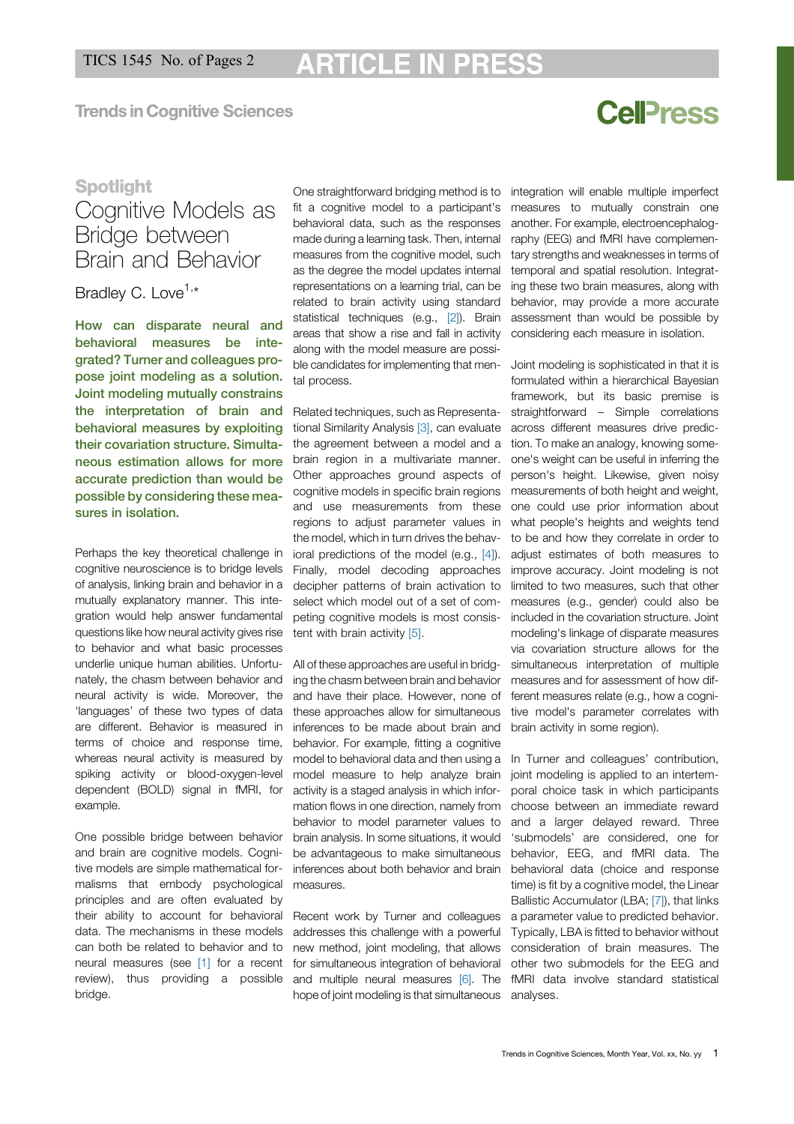**Trends in Coanitive Sciences** 

# **CellPress**

### **Spotlight**

### Cognitive Models as Bridge between Brain and Behavior

Bradley C. Love<sup>1,\*</sup>

How can disparate neural and behavioral measures be integrated? Turner and colleagues propose joint modeling as a solution. Joint modeling mutually constrains the interpretation of brain and behavioral measures by exploiting their covariation structure. Simultaneous estimation allows for more accurate prediction than would be possible by considering these measures in isolation.

Perhaps the key theoretical challenge in cognitive neuroscience is to bridge levels of analysis, linking brain and behavior in a mutually explanatory manner. This integration would help answer fundamental questions like how neural activity gives rise to behavior and what basic processes underlie unique human abilities. Unfortunately, the chasm between behavior and neural activity is wide. Moreover, the 'languages' of these two types of data are different. Behavior is measured in terms of choice and response time, whereas neural activity is measured by spiking activity or blood-oxygen-level dependent (BOLD) signal in fMRI, for example.

One possible bridge between behavior and brain are cognitive models. Cognitive models are simple mathematical formalisms that embody psychological principles and are often evaluated by their ability to account for behavioral data. The mechanisms in these models can both be related to behavior and to neural measures (see [1] for a recent review), thus providing a possible bridge.

One straightforward bridging method is to integration will enable multiple imperfect fit a cognitive model to a participant's measures to mutually constrain one behavioral data, such as the responses made during a learning task. Then, internal measures from the cognitive model, such as the degree the model updates internal representations on a learning trial, can be related to brain activity using standard statistical techniques (e.g., [2]). Brain areas that show a rise and fall in activity along with the model measure are possible candidates for implementing that mental process.

Related techniques, such as Representational Similarity Analysis [3], can evaluate the agreement between a model and a brain region in a multivariate manner. Other approaches ground aspects of cognitive models in specific brain regions and use measurements from these regions to adjust parameter values in the model, which in turn drives the behavioral predictions of the model (e.g., [4]). Finally, model decoding approaches decipher patterns of brain activation to select which model out of a set of competing cognitive models is most consistent with brain activity [5].

All of these approaches are useful in bridging the chasm between brain and behavior and have their place. However, none of these approaches allow for simultaneous inferences to be made about brain and behavior. For example, fitting a cognitive model to behavioral data and then using a model measure to help analyze brain activity is a staged analysis in which information flows in one direction, namely from behavior to model parameter values to brain analysis. In some situations, it would be advantageous to make simultaneous inferences about both behavior and brain measures.

Recent work by Turner and colleagues addresses this challenge with a powerful new method, joint modeling, that allows for simultaneous integration of behavioral and multiple neural measures [6]. The hope of joint modeling is that simultaneous

another. For example, electroencephalography (EEG) and fMRI have complementary strengths and weaknesses in terms of temporal and spatial resolution. Integrating these two brain measures, along with behavior, may provide a more accurate assessment than would be possible by considering each measure in isolation.

Joint modeling is sophisticated in that it is formulated within a hierarchical Bayesian framework, but its basic premise is straightforward – Simple correlations across different measures drive prediction. To make an analogy, knowing someone's weight can be useful in inferring the person's height. Likewise, given noisy measurements of both height and weight, one could use prior information about what people's heights and weights tend to be and how they correlate in order to adjust estimates of both measures to improve accuracy. Joint modeling is not limited to two measures, such that other measures (e.g., gender) could also be included in the covariation structure. Joint modeling's linkage of disparate measures via covariation structure allows for the simultaneous interpretation of multiple measures and for assessment of how different measures relate (e.g., how a cognitive model's parameter correlates with brain activity in some region).

In Turner and colleagues' contribution, joint modeling is applied to an intertemporal choice task in which participants choose between an immediate reward and a larger delayed reward. Three 'submodels' are considered, one for behavior, EEG, and fMRI data. The behavioral data (choice and response time) is fit by a cognitive model, the Linear Ballistic Accumulator (LBA; [7]), that links a parameter value to predicted behavior. Typically, LBA is fitted to behavior without consideration of brain measures. The other two submodels for the EEG and fMRI data involve standard statistical analyses.